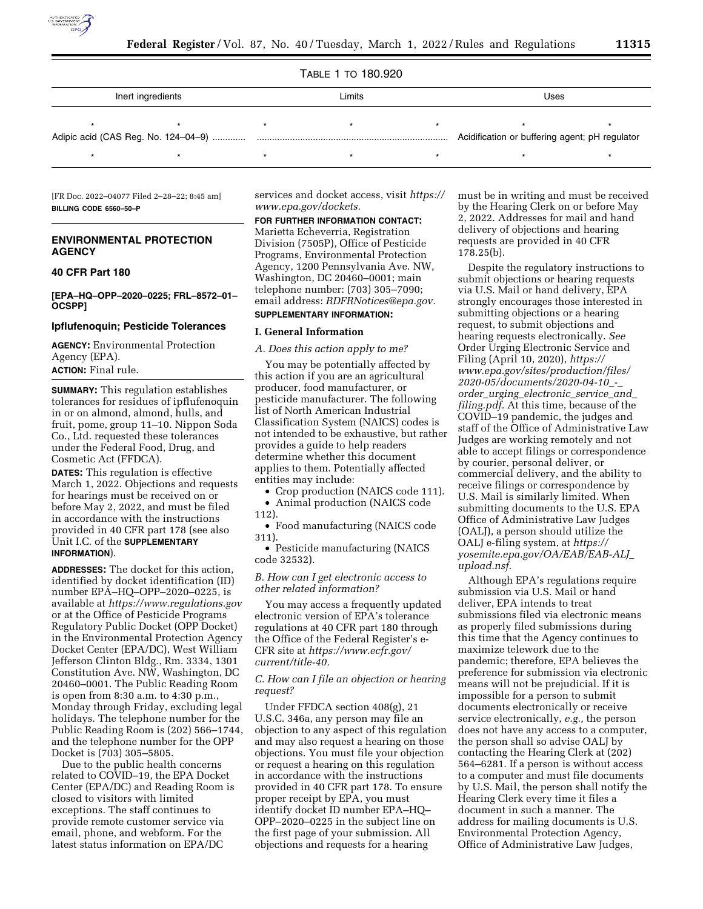

# TABLE 1 TO 180.920

| ււա | weuuww |  |
|-----|--------|--|
|     |        |  |
|     |        |  |
|     |        |  |
|     |        |  |

| Inert ingredients |  | Limits |  | Uses                                           |  |  |  |  |  |
|-------------------|--|--------|--|------------------------------------------------|--|--|--|--|--|
|                   |  |        |  |                                                |  |  |  |  |  |
|                   |  |        |  | Acidification or buffering agent; pH regulator |  |  |  |  |  |
|                   |  |        |  |                                                |  |  |  |  |  |

[FR Doc. 2022–04077 Filed 2–28–22; 8:45 am] **BILLING CODE 6560–50–P** 

# **ENVIRONMENTAL PROTECTION AGENCY**

# **40 CFR Part 180**

**[EPA–HQ–OPP–2020–0225; FRL–8572–01– OCSPP]** 

# **Ipflufenoquin; Pesticide Tolerances**

**AGENCY:** Environmental Protection Agency (EPA). **ACTION:** Final rule.

**SUMMARY:** This regulation establishes tolerances for residues of ipflufenoquin in or on almond, almond, hulls, and fruit, pome, group 11–10. Nippon Soda Co., Ltd. requested these tolerances under the Federal Food, Drug, and Cosmetic Act (FFDCA).

**DATES:** This regulation is effective March 1, 2022. Objections and requests for hearings must be received on or before May 2, 2022, and must be filed in accordance with the instructions provided in 40 CFR part 178 (see also Unit I.C. of the **SUPPLEMENTARY INFORMATION**).

**ADDRESSES:** The docket for this action, identified by docket identification (ID) number EPA–HQ–OPP–2020–0225, is available at *<https://www.regulations.gov>* or at the Office of Pesticide Programs Regulatory Public Docket (OPP Docket) in the Environmental Protection Agency Docket Center (EPA/DC), West William Jefferson Clinton Bldg., Rm. 3334, 1301 Constitution Ave. NW, Washington, DC 20460–0001. The Public Reading Room is open from 8:30 a.m. to 4:30 p.m., Monday through Friday, excluding legal holidays. The telephone number for the Public Reading Room is (202) 566–1744, and the telephone number for the OPP Docket is (703) 305–5805.

Due to the public health concerns related to COVID–19, the EPA Docket Center (EPA/DC) and Reading Room is closed to visitors with limited exceptions. The staff continues to provide remote customer service via email, phone, and webform. For the latest status information on EPA/DC

services and docket access, visit *[https://](https://www.epa.gov/dockets) [www.epa.gov/dockets.](https://www.epa.gov/dockets)* 

**FOR FURTHER INFORMATION CONTACT:**  Marietta Echeverria, Registration Division (7505P), Office of Pesticide Programs, Environmental Protection Agency, 1200 Pennsylvania Ave. NW, Washington, DC 20460–0001; main telephone number: (703) 305–7090; email address: *[RDFRNotices@epa.gov.](mailto:RDFRNotices@epa.gov)*  **SUPPLEMENTARY INFORMATION:** 

# **I. General Information**

*A. Does this action apply to me?* 

You may be potentially affected by this action if you are an agricultural producer, food manufacturer, or pesticide manufacturer. The following list of North American Industrial Classification System (NAICS) codes is not intended to be exhaustive, but rather provides a guide to help readers determine whether this document applies to them. Potentially affected entities may include:

- Crop production (NAICS code 111).
- Animal production (NAICS code
- 112).

• Food manufacturing (NAICS code 311).

• Pesticide manufacturing (NAICS code 32532).

#### *B. How can I get electronic access to other related information?*

You may access a frequently updated electronic version of EPA's tolerance regulations at 40 CFR part 180 through the Office of the Federal Register's e-CFR site at *[https://www.ecfr.gov/](https://www.ecfr.gov/current/title-40) [current/title-40.](https://www.ecfr.gov/current/title-40)* 

# *C. How can I file an objection or hearing request?*

Under FFDCA section 408(g), 21 U.S.C. 346a, any person may file an objection to any aspect of this regulation and may also request a hearing on those objections. You must file your objection or request a hearing on this regulation in accordance with the instructions provided in 40 CFR part 178. To ensure proper receipt by EPA, you must identify docket ID number EPA–HQ– OPP–2020–0225 in the subject line on the first page of your submission. All objections and requests for a hearing

must be in writing and must be received by the Hearing Clerk on or before May 2, 2022. Addresses for mail and hand delivery of objections and hearing requests are provided in 40 CFR 178.25(b).

Despite the regulatory instructions to submit objections or hearing requests via U.S. Mail or hand delivery, EPA strongly encourages those interested in submitting objections or a hearing request, to submit objections and hearing requests electronically. *See*  Order Urging Electronic Service and Filing (April 10, 2020), *[https://](https://www.epa.gov/sites/production/files/2020-05/documents/2020-04-10_-_order_urging_electronic_service_and_filing.pdf) [www.epa.gov/sites/production/files/](https://www.epa.gov/sites/production/files/2020-05/documents/2020-04-10_-_order_urging_electronic_service_and_filing.pdf) [2020-05/documents/2020-04-10](https://www.epa.gov/sites/production/files/2020-05/documents/2020-04-10_-_order_urging_electronic_service_and_filing.pdf)*\_*-*\_ *order*\_*urging*\_*[electronic](https://www.epa.gov/sites/production/files/2020-05/documents/2020-04-10_-_order_urging_electronic_service_and_filing.pdf)*\_*service*\_*and*\_ *[filing.pdf.](https://www.epa.gov/sites/production/files/2020-05/documents/2020-04-10_-_order_urging_electronic_service_and_filing.pdf)* At this time, because of the COVID–19 pandemic, the judges and staff of the Office of Administrative Law Judges are working remotely and not able to accept filings or correspondence by courier, personal deliver, or commercial delivery, and the ability to receive filings or correspondence by U.S. Mail is similarly limited. When submitting documents to the U.S. EPA Office of Administrative Law Judges (OALJ), a person should utilize the OALJ e-filing system, at *[https://](https://yosemite.epa.gov/OA/EAB/EAB-ALJ_upload.nsf) [yosemite.epa.gov/OA/EAB/EAB-ALJ](https://yosemite.epa.gov/OA/EAB/EAB-ALJ_upload.nsf)*\_ *[upload.nsf.](https://yosemite.epa.gov/OA/EAB/EAB-ALJ_upload.nsf)* 

Although EPA's regulations require submission via U.S. Mail or hand deliver, EPA intends to treat submissions filed via electronic means as properly filed submissions during this time that the Agency continues to maximize telework due to the pandemic; therefore, EPA believes the preference for submission via electronic means will not be prejudicial. If it is impossible for a person to submit documents electronically or receive service electronically, *e.g.,* the person does not have any access to a computer, the person shall so advise OALJ by contacting the Hearing Clerk at (202) 564–6281. If a person is without access to a computer and must file documents by U.S. Mail, the person shall notify the Hearing Clerk every time it files a document in such a manner. The address for mailing documents is U.S. Environmental Protection Agency, Office of Administrative Law Judges,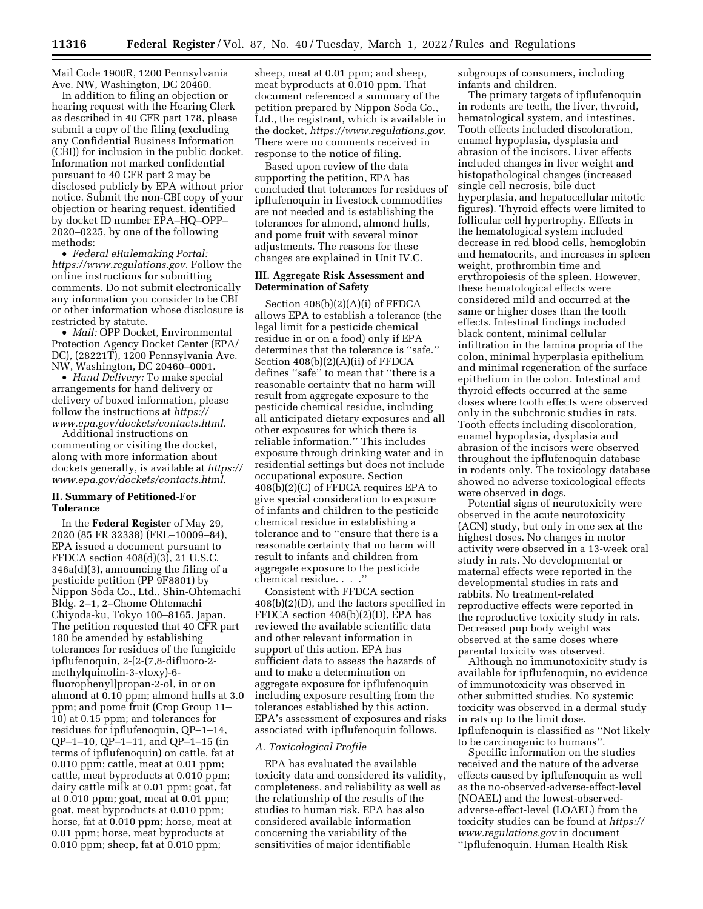Mail Code 1900R, 1200 Pennsylvania Ave. NW, Washington, DC 20460.

In addition to filing an objection or hearing request with the Hearing Clerk as described in 40 CFR part 178, please submit a copy of the filing (excluding any Confidential Business Information (CBI)) for inclusion in the public docket. Information not marked confidential pursuant to 40 CFR part 2 may be disclosed publicly by EPA without prior notice. Submit the non-CBI copy of your objection or hearing request, identified by docket ID number EPA–HQ–OPP– 2020–0225, by one of the following methods:

• *Federal eRulemaking Portal: [https://www.regulations.gov.](https://www.regulations.gov)* Follow the online instructions for submitting comments. Do not submit electronically any information you consider to be CBI or other information whose disclosure is restricted by statute.

• *Mail:* OPP Docket, Environmental Protection Agency Docket Center (EPA/ DC), (28221T), 1200 Pennsylvania Ave. NW, Washington, DC 20460–0001.

• *Hand Delivery:* To make special arrangements for hand delivery or delivery of boxed information, please follow the instructions at *[https://](https://www.epa.gov/dockets/contacts.html) [www.epa.gov/dockets/contacts.html.](https://www.epa.gov/dockets/contacts.html)* 

Additional instructions on commenting or visiting the docket, along with more information about dockets generally, is available at *[https://](https://www.epa.gov/dockets/contacts.html) [www.epa.gov/dockets/contacts.html.](https://www.epa.gov/dockets/contacts.html)* 

#### **II. Summary of Petitioned-For Tolerance**

In the **Federal Register** of May 29, 2020 (85 FR 32338) (FRL–10009–84), EPA issued a document pursuant to FFDCA section 408(d)(3), 21 U.S.C. 346a(d)(3), announcing the filing of a pesticide petition (PP 9F8801) by Nippon Soda Co., Ltd., Shin-Ohtemachi Bldg. 2–1, 2–Chome Ohtemachi Chiyoda-ku, Tokyo 100–8165, Japan. The petition requested that 40 CFR part 180 be amended by establishing tolerances for residues of the fungicide ipflufenoquin, 2-[2-(7,8-difluoro-2 methylquinolin-3-yloxy)-6 fluorophenyl]propan-2-ol, in or on almond at 0.10 ppm; almond hulls at 3.0 ppm; and pome fruit (Crop Group 11– 10) at 0.15 ppm; and tolerances for residues for ipflufenoquin, QP–1–14, QP–1–10, QP–1–11, and QP–1–15 (in terms of ipflufenoquin) on cattle, fat at 0.010 ppm; cattle, meat at 0.01 ppm; cattle, meat byproducts at 0.010 ppm; dairy cattle milk at 0.01 ppm; goat, fat at 0.010 ppm; goat, meat at 0.01 ppm; goat, meat byproducts at 0.010 ppm; horse, fat at 0.010 ppm; horse, meat at 0.01 ppm; horse, meat byproducts at 0.010 ppm; sheep, fat at 0.010 ppm;

sheep, meat at 0.01 ppm; and sheep, meat byproducts at 0.010 ppm. That document referenced a summary of the petition prepared by Nippon Soda Co., Ltd., the registrant, which is available in the docket, *[https://www.regulations.gov.](https://www.regulations.gov)*  There were no comments received in response to the notice of filing.

Based upon review of the data supporting the petition, EPA has concluded that tolerances for residues of ipflufenoquin in livestock commodities are not needed and is establishing the tolerances for almond, almond hulls, and pome fruit with several minor adjustments. The reasons for these changes are explained in Unit IV.C.

## **III. Aggregate Risk Assessment and Determination of Safety**

Section 408(b)(2)(A)(i) of FFDCA allows EPA to establish a tolerance (the legal limit for a pesticide chemical residue in or on a food) only if EPA determines that the tolerance is ''safe.'' Section 408(b)(2)(A)(ii) of FFDCA defines ''safe'' to mean that ''there is a reasonable certainty that no harm will result from aggregate exposure to the pesticide chemical residue, including all anticipated dietary exposures and all other exposures for which there is reliable information.'' This includes exposure through drinking water and in residential settings but does not include occupational exposure. Section 408(b)(2)(C) of FFDCA requires EPA to give special consideration to exposure of infants and children to the pesticide chemical residue in establishing a tolerance and to ''ensure that there is a reasonable certainty that no harm will result to infants and children from aggregate exposure to the pesticide chemical residue. . . .''

Consistent with FFDCA section 408(b)(2)(D), and the factors specified in FFDCA section 408(b)(2)(D), EPA has reviewed the available scientific data and other relevant information in support of this action. EPA has sufficient data to assess the hazards of and to make a determination on aggregate exposure for ipflufenoquin including exposure resulting from the tolerances established by this action. EPA's assessment of exposures and risks associated with ipflufenoquin follows.

# *A. Toxicological Profile*

EPA has evaluated the available toxicity data and considered its validity, completeness, and reliability as well as the relationship of the results of the studies to human risk. EPA has also considered available information concerning the variability of the sensitivities of major identifiable

subgroups of consumers, including infants and children.

The primary targets of ipflufenoquin in rodents are teeth, the liver, thyroid, hematological system, and intestines. Tooth effects included discoloration, enamel hypoplasia, dysplasia and abrasion of the incisors. Liver effects included changes in liver weight and histopathological changes (increased single cell necrosis, bile duct hyperplasia, and hepatocellular mitotic figures). Thyroid effects were limited to follicular cell hypertrophy. Effects in the hematological system included decrease in red blood cells, hemoglobin and hematocrits, and increases in spleen weight, prothrombin time and erythropoiesis of the spleen. However, these hematological effects were considered mild and occurred at the same or higher doses than the tooth effects. Intestinal findings included black content, minimal cellular infiltration in the lamina propria of the colon, minimal hyperplasia epithelium and minimal regeneration of the surface epithelium in the colon. Intestinal and thyroid effects occurred at the same doses where tooth effects were observed only in the subchronic studies in rats. Tooth effects including discoloration, enamel hypoplasia, dysplasia and abrasion of the incisors were observed throughout the ipflufenoquin database in rodents only. The toxicology database showed no adverse toxicological effects were observed in dogs.

Potential signs of neurotoxicity were observed in the acute neurotoxicity (ACN) study, but only in one sex at the highest doses. No changes in motor activity were observed in a 13-week oral study in rats. No developmental or maternal effects were reported in the developmental studies in rats and rabbits. No treatment-related reproductive effects were reported in the reproductive toxicity study in rats. Decreased pup body weight was observed at the same doses where parental toxicity was observed.

Although no immunotoxicity study is available for ipflufenoquin, no evidence of immunotoxicity was observed in other submitted studies. No systemic toxicity was observed in a dermal study in rats up to the limit dose. Ipflufenoquin is classified as ''Not likely to be carcinogenic to humans''.

Specific information on the studies received and the nature of the adverse effects caused by ipflufenoquin as well as the no-observed-adverse-effect-level (NOAEL) and the lowest-observedadverse-effect-level (LOAEL) from the toxicity studies can be found at *[https://](https://www.regulations.gov) [www.regulations.gov](https://www.regulations.gov)* in document ''Ipflufenoquin. Human Health Risk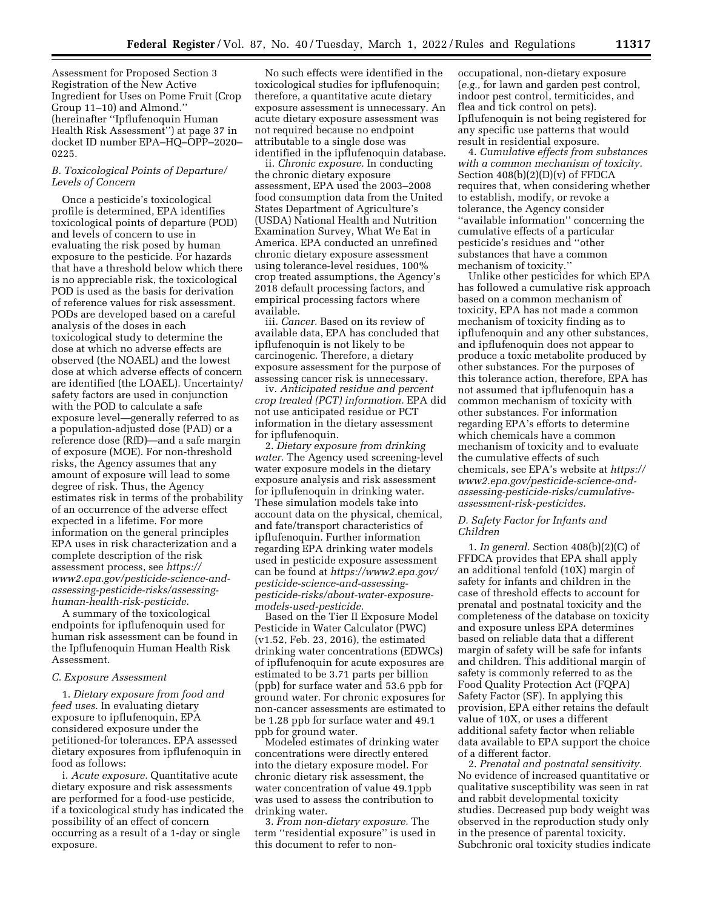Assessment for Proposed Section 3 Registration of the New Active Ingredient for Uses on Pome Fruit (Crop Group 11–10) and Almond.'' (hereinafter ''Ipflufenoquin Human Health Risk Assessment'') at page 37 in docket ID number EPA–HQ–OPP–2020– 0225.

#### *B. Toxicological Points of Departure/ Levels of Concern*

Once a pesticide's toxicological profile is determined, EPA identifies toxicological points of departure (POD) and levels of concern to use in evaluating the risk posed by human exposure to the pesticide. For hazards that have a threshold below which there is no appreciable risk, the toxicological POD is used as the basis for derivation of reference values for risk assessment. PODs are developed based on a careful analysis of the doses in each toxicological study to determine the dose at which no adverse effects are observed (the NOAEL) and the lowest dose at which adverse effects of concern are identified (the LOAEL). Uncertainty/ safety factors are used in conjunction with the POD to calculate a safe exposure level—generally referred to as a population-adjusted dose (PAD) or a reference dose (RfD)—and a safe margin of exposure (MOE). For non-threshold risks, the Agency assumes that any amount of exposure will lead to some degree of risk. Thus, the Agency estimates risk in terms of the probability of an occurrence of the adverse effect expected in a lifetime. For more information on the general principles EPA uses in risk characterization and a complete description of the risk assessment process, see *[https://](https://www2.epa.gov/pesticide-science-and-assessing-pesticide-risks/assessing-human-health-risk-pesticide) [www2.epa.gov/pesticide-science-and](https://www2.epa.gov/pesticide-science-and-assessing-pesticide-risks/assessing-human-health-risk-pesticide)[assessing-pesticide-risks/assessing](https://www2.epa.gov/pesticide-science-and-assessing-pesticide-risks/assessing-human-health-risk-pesticide)[human-health-risk-pesticide.](https://www2.epa.gov/pesticide-science-and-assessing-pesticide-risks/assessing-human-health-risk-pesticide)* 

A summary of the toxicological endpoints for ipflufenoquin used for human risk assessment can be found in the Ipflufenoquin Human Health Risk Assessment.

#### *C. Exposure Assessment*

1. *Dietary exposure from food and feed uses.* In evaluating dietary exposure to ipflufenoquin, EPA considered exposure under the petitioned-for tolerances. EPA assessed dietary exposures from ipflufenoquin in food as follows:

i. *Acute exposure.* Quantitative acute dietary exposure and risk assessments are performed for a food-use pesticide, if a toxicological study has indicated the possibility of an effect of concern occurring as a result of a 1-day or single exposure.

No such effects were identified in the toxicological studies for ipflufenoquin; therefore, a quantitative acute dietary exposure assessment is unnecessary. An acute dietary exposure assessment was not required because no endpoint attributable to a single dose was identified in the ipflufenoquin database.

ii. *Chronic exposure.* In conducting the chronic dietary exposure assessment, EPA used the 2003–2008 food consumption data from the United States Department of Agriculture's (USDA) National Health and Nutrition Examination Survey, What We Eat in America. EPA conducted an unrefined chronic dietary exposure assessment using tolerance-level residues, 100% crop treated assumptions, the Agency's 2018 default processing factors, and empirical processing factors where available.

iii. *Cancer.* Based on its review of available data, EPA has concluded that ipflufenoquin is not likely to be carcinogenic. Therefore, a dietary exposure assessment for the purpose of assessing cancer risk is unnecessary.

iv. *Anticipated residue and percent crop treated (PCT) information.* EPA did not use anticipated residue or PCT information in the dietary assessment for ipflufenoquin.

2. *Dietary exposure from drinking water.* The Agency used screening-level water exposure models in the dietary exposure analysis and risk assessment for ipflufenoquin in drinking water. These simulation models take into account data on the physical, chemical, and fate/transport characteristics of ipflufenoquin. Further information regarding EPA drinking water models used in pesticide exposure assessment can be found at *[https://www2.epa.gov/](https://www2.epa.gov/pesticide-science-and-assessing-pesticide-risks/about-water-exposure-models-used-pesticide)  [pesticide-science-and-assessing](https://www2.epa.gov/pesticide-science-and-assessing-pesticide-risks/about-water-exposure-models-used-pesticide)[pesticide-risks/about-water-exposure](https://www2.epa.gov/pesticide-science-and-assessing-pesticide-risks/about-water-exposure-models-used-pesticide)[models-used-pesticide.](https://www2.epa.gov/pesticide-science-and-assessing-pesticide-risks/about-water-exposure-models-used-pesticide)* 

Based on the Tier II Exposure Model Pesticide in Water Calculator (PWC) (v1.52, Feb. 23, 2016), the estimated drinking water concentrations (EDWCs) of ipflufenoquin for acute exposures are estimated to be 3.71 parts per billion (ppb) for surface water and 53.6 ppb for ground water. For chronic exposures for non-cancer assessments are estimated to be 1.28 ppb for surface water and 49.1 ppb for ground water.

Modeled estimates of drinking water concentrations were directly entered into the dietary exposure model. For chronic dietary risk assessment, the water concentration of value 49.1ppb was used to assess the contribution to drinking water.

3. *From non-dietary exposure.* The term ''residential exposure'' is used in this document to refer to nonoccupational, non-dietary exposure (*e.g.,* for lawn and garden pest control, indoor pest control, termiticides, and flea and tick control on pets). Ipflufenoquin is not being registered for any specific use patterns that would result in residential exposure.

4. *Cumulative effects from substances with a common mechanism of toxicity.*  Section 408(b)(2)(D)(v) of FFDCA requires that, when considering whether to establish, modify, or revoke a tolerance, the Agency consider ''available information'' concerning the cumulative effects of a particular pesticide's residues and ''other substances that have a common mechanism of toxicity.''

Unlike other pesticides for which EPA has followed a cumulative risk approach based on a common mechanism of toxicity, EPA has not made a common mechanism of toxicity finding as to ipflufenoquin and any other substances, and ipflufenoquin does not appear to produce a toxic metabolite produced by other substances. For the purposes of this tolerance action, therefore, EPA has not assumed that ipflufenoquin has a common mechanism of toxicity with other substances. For information regarding EPA's efforts to determine which chemicals have a common mechanism of toxicity and to evaluate the cumulative effects of such chemicals, see EPA's website at *[https://](https://www2.epa.gov/pesticide-science-and-assessing-pesticide-risks/cumulative-assessment-risk-pesticides)  [www2.epa.gov/pesticide-science-and](https://www2.epa.gov/pesticide-science-and-assessing-pesticide-risks/cumulative-assessment-risk-pesticides)[assessing-pesticide-risks/cumulative](https://www2.epa.gov/pesticide-science-and-assessing-pesticide-risks/cumulative-assessment-risk-pesticides)[assessment-risk-pesticides.](https://www2.epa.gov/pesticide-science-and-assessing-pesticide-risks/cumulative-assessment-risk-pesticides)* 

#### *D. Safety Factor for Infants and Children*

1. *In general.* Section 408(b)(2)(C) of FFDCA provides that EPA shall apply an additional tenfold (10X) margin of safety for infants and children in the case of threshold effects to account for prenatal and postnatal toxicity and the completeness of the database on toxicity and exposure unless EPA determines based on reliable data that a different margin of safety will be safe for infants and children. This additional margin of safety is commonly referred to as the Food Quality Protection Act (FQPA) Safety Factor (SF). In applying this provision, EPA either retains the default value of 10X, or uses a different additional safety factor when reliable data available to EPA support the choice of a different factor.

2. *Prenatal and postnatal sensitivity.*  No evidence of increased quantitative or qualitative susceptibility was seen in rat and rabbit developmental toxicity studies. Decreased pup body weight was observed in the reproduction study only in the presence of parental toxicity. Subchronic oral toxicity studies indicate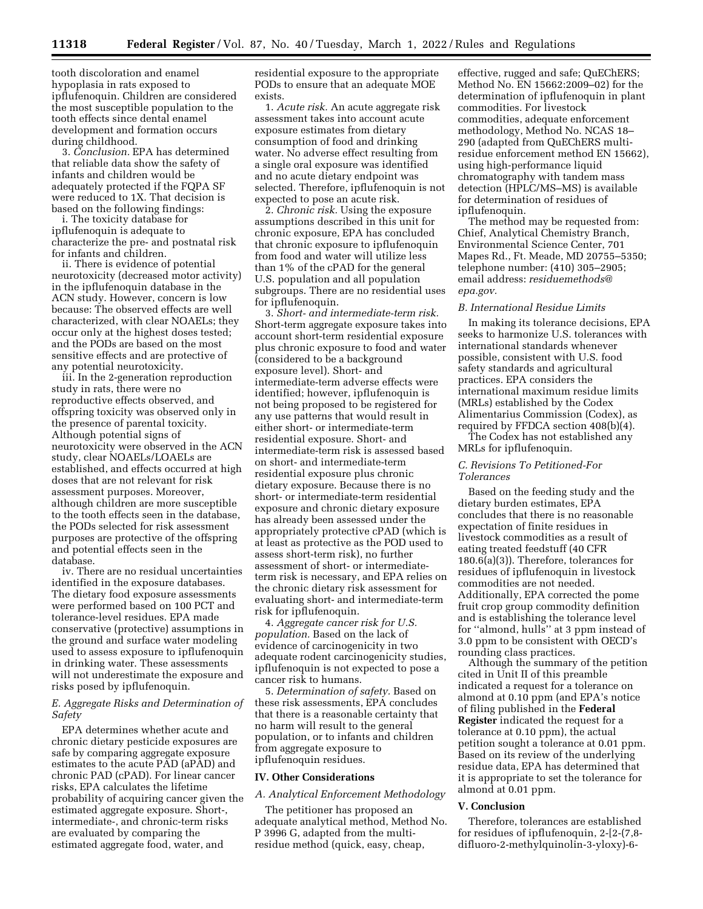tooth discoloration and enamel hypoplasia in rats exposed to ipflufenoquin. Children are considered the most susceptible population to the tooth effects since dental enamel development and formation occurs during childhood.

3. *Conclusion.* EPA has determined that reliable data show the safety of infants and children would be adequately protected if the FQPA SF were reduced to 1X. That decision is based on the following findings:

i. The toxicity database for ipflufenoquin is adequate to characterize the pre- and postnatal risk for infants and children.

ii. There is evidence of potential neurotoxicity (decreased motor activity) in the ipflufenoquin database in the ACN study. However, concern is low because: The observed effects are well characterized, with clear NOAELs; they occur only at the highest doses tested; and the PODs are based on the most sensitive effects and are protective of any potential neurotoxicity.

iii. In the 2-generation reproduction study in rats, there were no reproductive effects observed, and offspring toxicity was observed only in the presence of parental toxicity. Although potential signs of neurotoxicity were observed in the ACN study, clear NOAELs/LOAELs are established, and effects occurred at high doses that are not relevant for risk assessment purposes. Moreover, although children are more susceptible to the tooth effects seen in the database, the PODs selected for risk assessment purposes are protective of the offspring and potential effects seen in the database.

iv. There are no residual uncertainties identified in the exposure databases. The dietary food exposure assessments were performed based on 100 PCT and tolerance-level residues. EPA made conservative (protective) assumptions in the ground and surface water modeling used to assess exposure to ipflufenoquin in drinking water. These assessments will not underestimate the exposure and risks posed by ipflufenoquin.

#### *E. Aggregate Risks and Determination of Safety*

EPA determines whether acute and chronic dietary pesticide exposures are safe by comparing aggregate exposure estimates to the acute PAD (aPAD) and chronic PAD (cPAD). For linear cancer risks, EPA calculates the lifetime probability of acquiring cancer given the estimated aggregate exposure. Short-, intermediate-, and chronic-term risks are evaluated by comparing the estimated aggregate food, water, and

residential exposure to the appropriate PODs to ensure that an adequate MOE exists.

1. *Acute risk.* An acute aggregate risk assessment takes into account acute exposure estimates from dietary consumption of food and drinking water. No adverse effect resulting from a single oral exposure was identified and no acute dietary endpoint was selected. Therefore, ipflufenoquin is not expected to pose an acute risk.

2. *Chronic risk.* Using the exposure assumptions described in this unit for chronic exposure, EPA has concluded that chronic exposure to ipflufenoquin from food and water will utilize less than 1% of the cPAD for the general U.S. population and all population subgroups. There are no residential uses for ipflufenoquin.

3. *Short- and intermediate-term risk.*  Short-term aggregate exposure takes into account short-term residential exposure plus chronic exposure to food and water (considered to be a background exposure level). Short- and intermediate-term adverse effects were identified; however, ipflufenoquin is not being proposed to be registered for any use patterns that would result in either short- or intermediate-term residential exposure. Short- and intermediate-term risk is assessed based on short- and intermediate-term residential exposure plus chronic dietary exposure. Because there is no short- or intermediate-term residential exposure and chronic dietary exposure has already been assessed under the appropriately protective cPAD (which is at least as protective as the POD used to assess short-term risk), no further assessment of short- or intermediateterm risk is necessary, and EPA relies on the chronic dietary risk assessment for evaluating short- and intermediate-term risk for ipflufenoquin.

4. *Aggregate cancer risk for U.S. population.* Based on the lack of evidence of carcinogenicity in two adequate rodent carcinogenicity studies, ipflufenoquin is not expected to pose a cancer risk to humans.

5. *Determination of safety.* Based on these risk assessments, EPA concludes that there is a reasonable certainty that no harm will result to the general population, or to infants and children from aggregate exposure to ipflufenoquin residues.

#### **IV. Other Considerations**

*A. Analytical Enforcement Methodology* 

The petitioner has proposed an adequate analytical method, Method No. P 3996 G, adapted from the multiresidue method (quick, easy, cheap,

effective, rugged and safe; QuEChERS; Method No. EN 15662:2009–02) for the determination of ipflufenoquin in plant commodities. For livestock commodities, adequate enforcement methodology, Method No. NCAS 18– 290 (adapted from QuEChERS multiresidue enforcement method EN 15662), using high-performance liquid chromatography with tandem mass detection (HPLC/MS–MS) is available for determination of residues of ipflufenoquin.

The method may be requested from: Chief, Analytical Chemistry Branch, Environmental Science Center, 701 Mapes Rd., Ft. Meade, MD 20755–5350; telephone number: (410) 305–2905; email address: *[residuemethods@](mailto:residuemethods@epa.gov) [epa.gov.](mailto:residuemethods@epa.gov)* 

## *B. International Residue Limits*

In making its tolerance decisions, EPA seeks to harmonize U.S. tolerances with international standards whenever possible, consistent with U.S. food safety standards and agricultural practices. EPA considers the international maximum residue limits (MRLs) established by the Codex Alimentarius Commission (Codex), as required by FFDCA section 408(b)(4). The Codex has not established any

MRLs for ipflufenoquin.

## *C. Revisions To Petitioned-For Tolerances*

Based on the feeding study and the dietary burden estimates, EPA concludes that there is no reasonable expectation of finite residues in livestock commodities as a result of eating treated feedstuff (40 CFR 180.6(a)(3)). Therefore, tolerances for residues of ipflufenoquin in livestock commodities are not needed. Additionally, EPA corrected the pome fruit crop group commodity definition and is establishing the tolerance level for ''almond, hulls'' at 3 ppm instead of 3.0 ppm to be consistent with OECD's rounding class practices.

Although the summary of the petition cited in Unit II of this preamble indicated a request for a tolerance on almond at 0.10 ppm (and EPA's notice of filing published in the **Federal Register** indicated the request for a tolerance at 0.10 ppm), the actual petition sought a tolerance at 0.01 ppm. Based on its review of the underlying residue data, EPA has determined that it is appropriate to set the tolerance for almond at 0.01 ppm.

#### **V. Conclusion**

Therefore, tolerances are established for residues of ipflufenoquin, 2-[2-(7,8 difluoro-2-methylquinolin-3-yloxy)-6